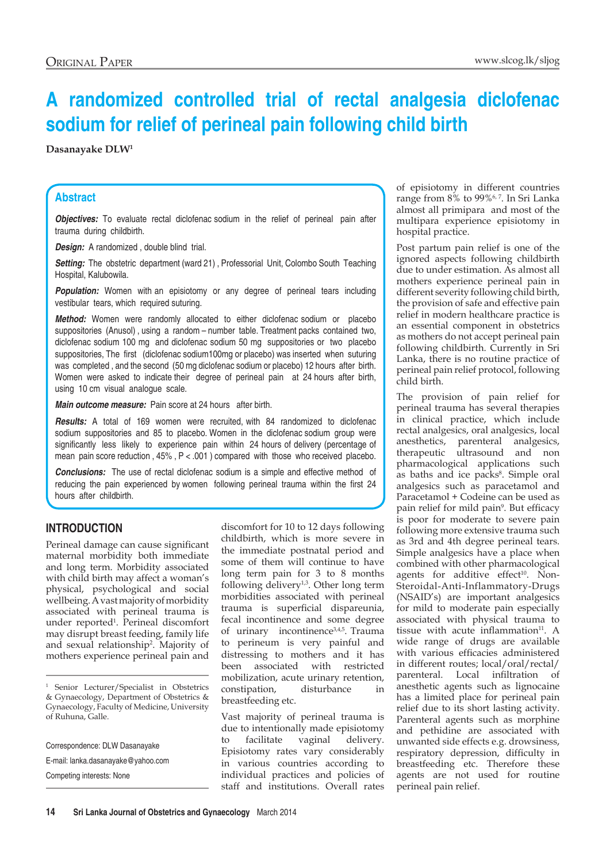# **A randomized controlled trial of rectal analgesia diclofenac sodium for relief of perineal pain following child birth**

**Dasanayake DLW1**

### **Abstract**

*Objectives:* To evaluate rectal diclofenac sodium in the relief of perineal pain after trauma during childbirth.

*Design:* A randomized , double blind trial.

**Setting:** The obstetric department (ward 21), Professorial Unit, Colombo South Teaching Hospital, Kalubowila.

**Population:** Women with an episiotomy or any degree of perineal tears including vestibular tears, which required suturing.

*Method:* Women were randomly allocated to either diclofenac sodium or placebo suppositories (Anusol) , using a random – number table. Treatment packs contained two, diclofenac sodium 100 mg and diclofenac sodium 50 mg suppositories or two placebo suppositories, The first (diclofenac sodium100mg or placebo) was inserted when suturing was completed , and the second (50 mg diclofenac sodium or placebo) 12 hours after birth. Women were asked to indicate their degree of perineal pain at 24 hours after birth, using 10 cm visual analogue scale.

*Main outcome measure:* Pain score at 24 hours after birth.

*Results:* A total of 169 women were recruited, with 84 randomized to diclofenac sodium suppositories and 85 to placebo. Women in the diclofenac sodium group were significantly less likely to experience pain within 24 hours of delivery (percentage of mean pain score reduction,  $45\%$ ,  $P < .001$ ) compared with those who received placebo.

*Conclusions:* The use of rectal diclofenac sodium is a simple and effective method of reducing the pain experienced by women following perineal trauma within the first 24 hours after childbirth.

# **Introduction**

Perineal damage can cause significant maternal morbidity both immediate and long term. Morbidity associated with child birth may affect a woman's physical, psychological and social wellbeing. A vast majority of morbidity associated with perineal trauma is under reported1 . Perineal discomfort may disrupt breast feeding, family life and sexual relationship2 . Majority of mothers experience perineal pain and

<sup>1</sup> Senior Lecturer/Specialist in Obstetrics & Gynaecology, Department of Obstetrics & Gynaecology, Faculty of Medicine, University of Ruhuna, Galle.

Correspondence: DLW Dasanayake E-mail: lanka.dasanayake@yahoo.com Competing interests: None

discomfort for 10 to 12 days following childbirth, which is more severe in the immediate postnatal period and some of them will continue to have long term pain for 3 to 8 months following delivery<sup>1,3</sup>. Other long term morbidities associated with perineal trauma is superficial dispareunia, fecal incontinence and some degree of urinary incontinence<sup>3,4,5</sup>. Trauma to perineum is very painful and distressing to mothers and it has been associated with restricted mobilization, acute urinary retention, constipation, disturbance in breastfeeding etc.

Vast majority of perineal trauma is due to intentionally made episiotomy to facilitate vaginal delivery. Episiotomy rates vary considerably in various countries according to individual practices and policies of staff and institutions. Overall rates of episiotomy in different countries range from 8% to 99%<sup>6,7</sup>. In Sri Lanka almost all primipara and most of the multipara experience episiotomy in hospital practice.

Post partum pain relief is one of the ignored aspects following childbirth due to under estimation. As almost all mothers experience perineal pain in different severity following child birth, the provision of safe and effective pain relief in modern healthcare practice is an essential component in obstetrics as mothers do not accept perineal pain following childbirth. Currently in Sri Lanka, there is no routine practice of perineal pain relief protocol, following child birth.

The provision of pain relief for perineal trauma has several therapies in clinical practice, which include rectal analgesics, oral analgesics, local anesthetics, parenteral analgesics, therapeutic ultrasound and non pharmacological applications such as baths and ice packs<sup>8</sup>. Simple oral analgesics such as paracetamol and Paracetamol + Codeine can be used as pain relief for mild pain<sup>9</sup>. But efficacy is poor for moderate to severe pain following more extensive trauma such as 3rd and 4th degree perineal tears. Simple analgesics have a place when combined with other pharmacological agents for additive effect<sup>10</sup>. Non-Steroidal-Anti-Inflammatory-Drugs (NSAID's) are important analgesics for mild to moderate pain especially associated with physical trauma to tissue with acute inflammation<sup>11</sup>. A wide range of drugs are available with various efficacies administered in different routes; local/oral/rectal/ parenteral. Local infiltration of anesthetic agents such as lignocaine has a limited place for perineal pain relief due to its short lasting activity. Parenteral agents such as morphine and pethidine are associated with unwanted side effects e.g. drowsiness, respiratory depression, difficulty in breastfeeding etc. Therefore these agents are not used for routine perineal pain relief.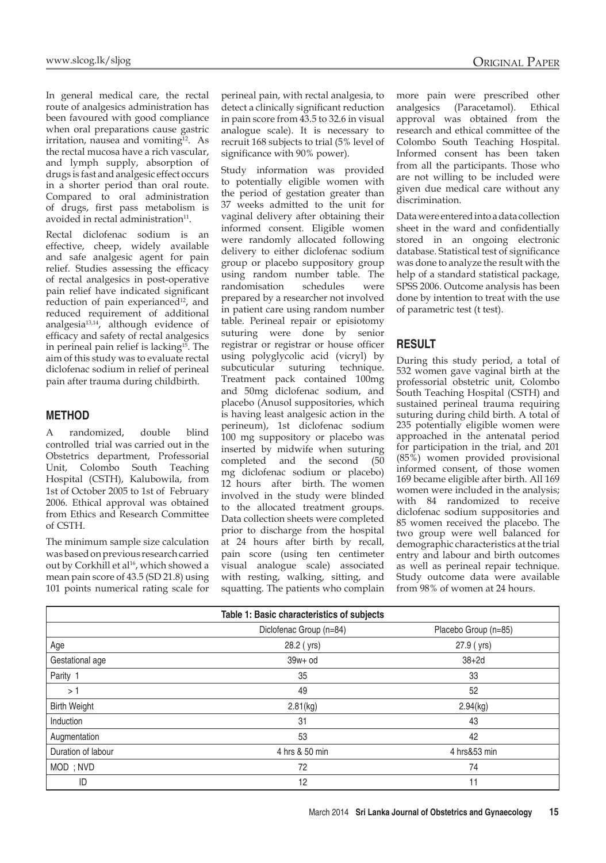In general medical care, the rectal route of analgesics administration has been favoured with good compliance when oral preparations cause gastric irritation, nausea and vomiting $12$ . As the rectal mucosa have a rich vascular, and lymph supply, absorption of drugs is fast and analgesic effect occurs in a shorter period than oral route. Compared to oral administration of drugs, first pass metabolism is avoided in rectal administration<sup>11</sup>.

Rectal diclofenac sodium is an effective, cheep, widely available and safe analgesic agent for pain relief. Studies assessing the efficacy of rectal analgesics in post-operative pain relief have indicated significant reduction of pain experianced<sup>12</sup>, and reduced requirement of additional analgesia13,14, although evidence of efficacy and safety of rectal analgesics in perineal pain relief is lacking<sup>15</sup>. The aim of this study was to evaluate rectal diclofenac sodium in relief of perineal pain after trauma during childbirth.

#### **Method**

A randomized, double blind controlled trial was carried out in the Obstetrics department, Professorial Unit, Colombo South Teaching Hospital (CSTH), Kalubowila, from 1st of October 2005 to 1st of February 2006. Ethical approval was obtained from Ethics and Research Committee of CSTH.

The minimum sample size calculation was based on previous research carried out by Corkhill et al<sup>16</sup>, which showed a mean pain score of 43.5 (SD 21.8) using 101 points numerical rating scale for perineal pain, with rectal analgesia, to detect a clinically significant reduction in pain score from 43.5 to 32.6 in visual analogue scale). It is necessary to recruit 168 subjects to trial (5% level of significance with 90% power).

Study information was provided to potentially eligible women with the period of gestation greater than 37 weeks admitted to the unit for vaginal delivery after obtaining their informed consent. Eligible women were randomly allocated following delivery to either diclofenac sodium group or placebo suppository group using random number table. The randomisation schedules were prepared by a researcher not involved in patient care using random number table. Perineal repair or episiotomy suturing were done by senior registrar or registrar or house officer using polyglycolic acid (vicryl) by subcuticular suturing technique. Treatment pack contained 100mg and 50mg diclofenac sodium, and placebo (Anusol suppositories, which is having least analgesic action in the perineum), 1st diclofenac sodium 100 mg suppository or placebo was inserted by midwife when suturing completed and the second (50 mg diclofenac sodium or placebo) 12 hours after birth. The women involved in the study were blinded to the allocated treatment groups. Data collection sheets were completed prior to discharge from the hospital at 24 hours after birth by recall, pain score (using ten centimeter visual analogue scale) associated with resting, walking, sitting, and squatting. The patients who complain

more pain were prescribed other analgesics (Paracetamol). Ethical approval was obtained from the research and ethical committee of the Colombo South Teaching Hospital. Informed consent has been taken from all the participants. Those who are not willing to be included were given due medical care without any discrimination.

Data were entered into a data collection sheet in the ward and confidentially stored in an ongoing electronic database. Statistical test of significance was done to analyze the result with the help of a standard statistical package, SPSS 2006. Outcome analysis has been done by intention to treat with the use of parametric test (t test).

#### **Result**

During this study period, a total of 532 women gave vaginal birth at the professorial obstetric unit, Colombo South Teaching Hospital (CSTH) and sustained perineal trauma requiring suturing during child birth. A total of 235 potentially eligible women were approached in the antenatal period for participation in the trial, and 201 (85%) women provided provisional informed consent, of those women 169 became eligible after birth. All 169 women were included in the analysis; with 84 randomized to receive diclofenac sodium suppositories and 85 women received the placebo. The two group were well balanced for demographic characteristics at the trial entry and labour and birth outcomes as well as perineal repair technique. Study outcome data were available from 98% of women at 24 hours.

| Table 1: Basic characteristics of subjects |                         |                      |  |  |  |
|--------------------------------------------|-------------------------|----------------------|--|--|--|
|                                            | Diclofenac Group (n=84) | Placebo Group (n=85) |  |  |  |
| Age                                        | 28.2 (yrs)              | 27.9 (yrs)           |  |  |  |
| Gestational age                            | $39w + od$              | $38+2d$              |  |  |  |
| Parity 1                                   | 35                      | 33                   |  |  |  |
| >1                                         | 49                      | 52                   |  |  |  |
| <b>Birth Weight</b>                        | 2.81(kg)                | 2.94(kg)             |  |  |  |
| Induction                                  | 31                      | 43                   |  |  |  |
| Augmentation                               | 53                      | 42                   |  |  |  |
| Duration of labour                         | 4 hrs & 50 min          | 4 hrs&53 min         |  |  |  |
| MOD; NVD                                   | 72                      | 74                   |  |  |  |
| ID                                         | 12                      | 11                   |  |  |  |